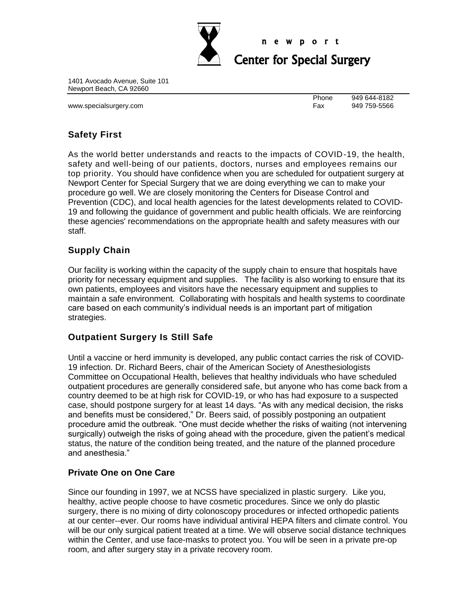

#### n e w p o r t

# Center for Special Surgery

1401 Avocado Avenue, Suite 101 Newport Beach, CA 92660

www.specialsurgery.com example and the state of the state of the Fax 949 759-5566

Phone 949 644-8182

# **Safety First**

As the world better understands and reacts to the impacts of COVID-19, the health, safety and well-being of our patients, doctors, nurses and employees remains our top priority. You should have confidence when you are scheduled for outpatient surgery at Newport Center for Special Surgery that we are doing everything we can to make your procedure go well. We are closely monitoring the Centers for Disease Control and Prevention (CDC), and local health agencies for the latest developments related to COVID-19 and following the guidance of government and public health officials. We are reinforcing these agencies' recommendations on the appropriate health and safety measures with our staff.

## **Supply Chain**

Our facility is working within the capacity of the supply chain to ensure that hospitals have priority for necessary equipment and supplies. The facility is also working to ensure that its own patients, employees and visitors have the necessary equipment and supplies to maintain a safe environment. Collaborating with hospitals and health systems to coordinate care based on each community's individual needs is an important part of mitigation strategies.

### **Outpatient Surgery Is Still Safe**

Until a vaccine or herd immunity is developed, any public contact carries the risk of COVID-19 infection. Dr. Richard Beers, chair of the American Society of Anesthesiologists Committee on Occupational Health, believes that healthy individuals who have scheduled outpatient procedures are generally considered safe, but anyone who has come back from a country deemed to be at high risk for COVID-19, or who has had exposure to a suspected case, should postpone surgery for at least 14 days. "As with any medical decision, the risks and benefits must be considered," Dr. Beers said, of possibly postponing an outpatient procedure amid the outbreak. "One must decide whether the risks of waiting (not intervening surgically) outweigh the risks of going ahead with the procedure, given the patient's medical status, the nature of the condition being treated, and the nature of the planned procedure and anesthesia."

### **Private One on One Care**

Since our founding in 1997, we at NCSS have specialized in plastic surgery. Like you, healthy, active people choose to have cosmetic procedures. Since we only do plastic surgery, there is no mixing of dirty colonoscopy procedures or infected orthopedic patients at our center--ever. Our rooms have individual antiviral HEPA filters and climate control. You will be our only surgical patient treated at a time. We will observe social distance techniques within the Center, and use face-masks to protect you. You will be seen in a private pre-op room, and after surgery stay in a private recovery room.